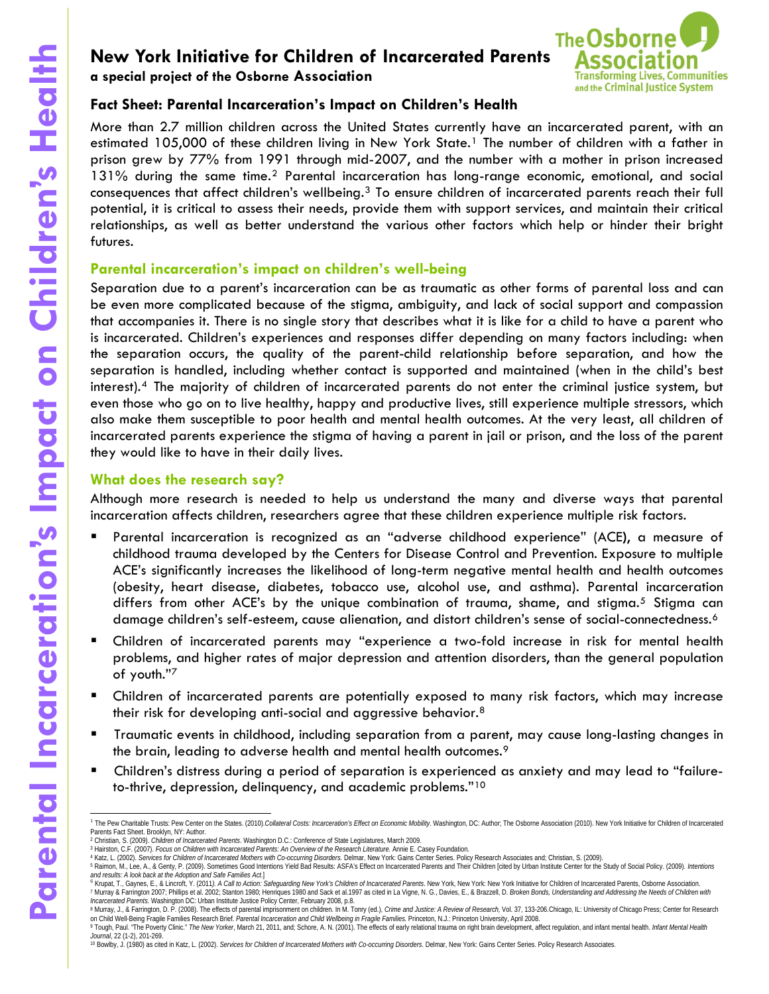**a special project of the Osborne Association** 



# **Fact Sheet: Parental Incarceration's Impact on Children's Health**

More than 2.7 million children across the United States currently have an incarcerated parent, with an estimated [1](#page-0-0)05,000 of these children living in New York State.<sup>1</sup> The number of children with a father in prison grew by 77% from 1991 through mid-2007, and the number with a mother in prison increased  $131\%$  during the same time.<sup>[2](#page-0-1)</sup> Parental incarceration has long-range economic, emotional, and social consequences that affect children's wellbeing.[3](#page-0-2) To ensure children of incarcerated parents reach their full potential, it is critical to assess their needs, provide them with support services, and maintain their critical relationships, as well as better understand the various other factors which help or hinder their bright futures.

# **Parental incarceration's impact on children's well-being**

**Examples the Share of Children of Incarcerated Parents <br>
<b>Examples the Share Association** Association Association Children's Health<br>
More then 27 million didden ocross the United States correctly have on in<br>
2019, during Separation due to a parent's incarceration can be as traumatic as other forms of parental loss and can be even more complicated because of the stigma, ambiguity, and lack of social support and compassion that accompanies it. There is no single story that describes what it is like for a child to have a parent who is incarcerated. Children's experiences and responses differ depending on many factors including: when the separation occurs, the quality of the parent-child relationship before separation, and how the separation is handled, including whether contact is supported and maintained (when in the child's best interest).[4](#page-0-3) The majority of children of incarcerated parents do not enter the criminal justice system, but even those who go on to live healthy, happy and productive lives, still experience multiple stressors, which also make them susceptible to poor health and mental health outcomes. At the very least, all children of incarcerated parents experience the stigma of having a parent in jail or prison, and the loss of the parent they would like to have in their daily lives.

# **What does the research say?**

Although more research is needed to help us understand the many and diverse ways that parental incarceration affects children, researchers agree that these children experience multiple risk factors.

- Parental incarceration is recognized as an "adverse childhood experience" (ACE**)**, a measure of childhood trauma developed by the Centers for Disease Control and Prevention. Exposure to multiple ACE's significantly increases the likelihood of long-term negative mental health and health outcomes (obesity, heart disease, diabetes, tobacco use, alcohol use, and asthma). Parental incarceration differs from other ACE's by the unique combination of trauma, shame, and stigma.<sup>[5](#page-0-4)</sup> Stigma can damage children's self-esteem, cause alienation, and distort children's sense of social-connectedness.<sup>[6](#page-0-5)</sup>
- Children of incarcerated parents may "experience a two-fold increase in risk for mental health problems, and higher rates of major depression and attention disorders, than the general population of youth."[7](#page-0-6)
- Children of incarcerated parents are potentially exposed to many risk factors, which may increase their risk for developing anti-social and aggressive behavior.[8](#page-0-7)
- Traumatic events in childhood, including separation from a parent, may cause long-lasting changes in the brain, leading to adverse health and mental health outcomes.[9](#page-0-8)
- Children's distress during a period of separation is experienced as anxiety and may lead to "failureto-thrive, depression, delinquency, and academic problems."[10](#page-0-9)

<span id="page-0-0"></span><sup>1</sup> The Pew Charitable Trusts: Pew Center on the States. (2010). Collateral Costs: Incarceration's Effect on Economic Mobility. Washington, DC: Author; The Osborne Association (2010). New York Initiative for Children of Inca Parents Fact Sheet. Brooklyn, NY: Author.

<sup>&</sup>lt;sup>2</sup> Christian, S. (2009). *Children of Incarcerated Parents.* Washington D.C.: Conference of State Legislatures, March 2009.<br><sup>3</sup> Hairston, C.F. (2007)*. Focus on Children with Incarcerated Parents: An Overview of the Resea* 

<span id="page-0-5"></span><span id="page-0-4"></span><span id="page-0-3"></span><span id="page-0-2"></span><span id="page-0-1"></span>

<sup>4</sup> Katz, L. (2002). Services for Children of Incarcerated Mothers with Co-occurring Disorders. Delmar, New York: Gains Center Series. Policy Research Associates and; Christian, S. (2009).<br><sup>5</sup> Raimon, M., Lee, A., & Genty, P

<sup>&</sup>lt;sup>6</sup> Krupat, T., Gaynes, E., & Lincroft, Y. (2011). A Call to Action: Safeguarding New York's Children of Incarcerated Parents. New York, New York hiliative for Children of Incarcerated Parents, Osborne Association.

<span id="page-0-6"></span><sup>&</sup>lt;sup>7</sup> Murray & Farrington 2007; Phillips et al. 2002; Stanton 1980; Henriques 1980 and Sack et al.1997 as cited in La Vigne, N. G., Davies, E., & Brazzell, D. Broken Bonds, Understanding and Addressing the Needs of Children

<span id="page-0-8"></span><span id="page-0-7"></span><sup>8</sup> Murray, J., & Farrington, D. P. (2008). The effects of parental imprisonment on children. In M. Tonry (ed.), Crime and Justice: A Review of Research, Vol. 37, 133-206.Chicago, IL: University of Chicago Press; Center for on Child Well-Being Fragile Families Research Brief. *Parental Incarceration and Child Wellbeing in Fragile Families*. Princeton, N.J.: Princeton University, April 2008. 9 Tough, Paul. "The Poverty Clinic." The New Yorker, March 21, 2011, and; Schore, A. N. (2001). The effects of early relational trauma on right brain development, affect regulation, and infant mental health. Infant Mental *Journal*, 22 (1-2), 201-269.

<span id="page-0-9"></span><sup>10</sup> Bowlby, J. (1980) as cited in Katz, L. (2002). Services for Children of Incarcerated Mothers with Co-occurring Disorders. Delmar, New York: Gains Center Series. Policy Research Associates.